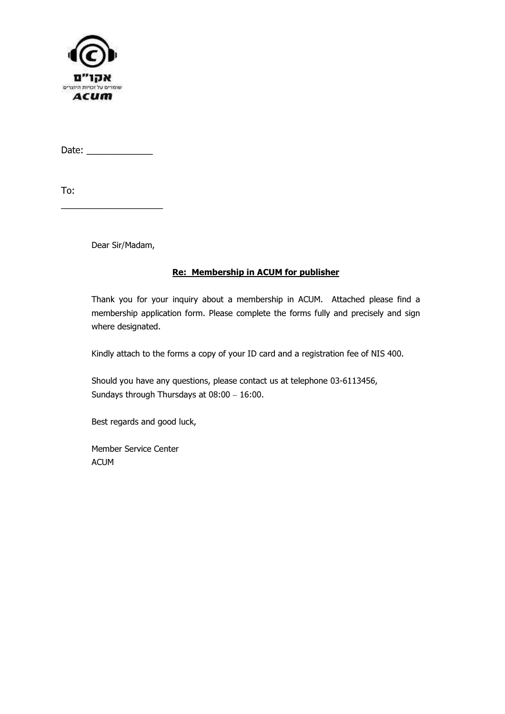

Date: \_\_\_\_\_\_\_\_\_\_\_\_\_

To:

Dear Sir/Madam,

\_\_\_\_\_\_\_\_\_\_\_\_\_\_\_\_\_\_\_\_

#### Re: Membership in ACUM for publisher

Thank you for your inquiry about a membership in ACUM. Attached please find a membership application form. Please complete the forms fully and precisely and sign where designated.

Kindly attach to the forms a copy of your ID card and a registration fee of NIS 400.

Should you have any questions, please contact us at telephone 03-6113456, Sundays through Thursdays at 08:00 – 16:00.

Best regards and good luck,

Member Service Center ACUM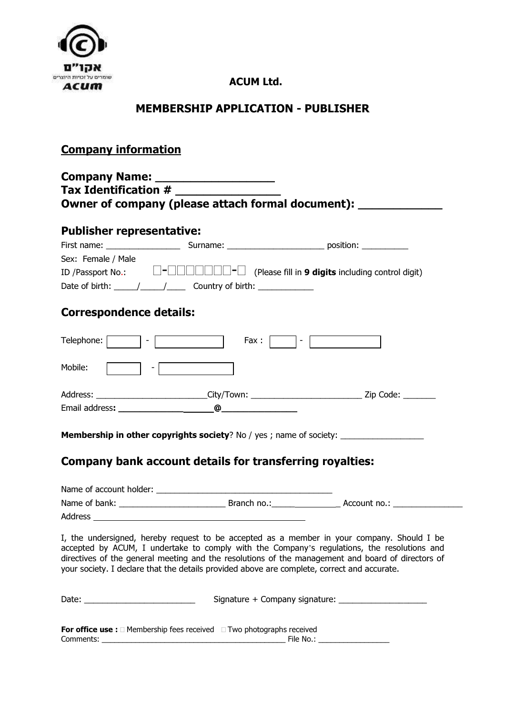

## ACUM Ltd.

## MEMBERSHIP APPLICATION - PUBLISHER

### Company information

## Company Name: \_\_\_\_\_\_\_\_\_\_\_\_\_\_\_\_\_ Tax Identification # Owner of company (please attach formal document): \_\_\_\_\_\_\_\_\_\_\_\_\_\_\_\_\_\_\_\_\_\_\_\_\_\_\_\_\_\_

| <b>Publisher representative:</b>                                                                                                                                                                                                                                                                                                                                                                          |  |                                                   |  |  |
|-----------------------------------------------------------------------------------------------------------------------------------------------------------------------------------------------------------------------------------------------------------------------------------------------------------------------------------------------------------------------------------------------------------|--|---------------------------------------------------|--|--|
| First name: $\frac{1}{2}$                                                                                                                                                                                                                                                                                                                                                                                 |  |                                                   |  |  |
| Sex: Female / Male                                                                                                                                                                                                                                                                                                                                                                                        |  |                                                   |  |  |
| ID /Passport No.:                                                                                                                                                                                                                                                                                                                                                                                         |  | (Please fill in 9 digits including control digit) |  |  |
| Date of birth: $\frac{1}{\sqrt{1-\frac{1}{1-\frac{1}{1-\frac{1}{1-\frac{1}{1-\frac{1}{1-\frac{1}{1-\frac{1}{1-\frac{1}{1-\frac{1}{1-\frac{1}{1-\frac{1}{1-\frac{1}{1-\frac{1}{1-\frac{1}{1-\frac{1}{1-\frac{1}{1-\frac{1}{1-\frac{1}{1-\frac{1}{1-\frac{1}{1-\frac{1}{1-\frac{1}{1-\frac{1}{1-\frac{1}{1-\frac{1}{1-\frac{1}{1-\frac{1}{1-\frac{1}{1-\frac{1}{1-\frac{1}{1-\frac{1}{1-\frac{1}{1-\frac{1$ |  |                                                   |  |  |
| <b>Correspondence details:</b>                                                                                                                                                                                                                                                                                                                                                                            |  |                                                   |  |  |
| Telephone:                                                                                                                                                                                                                                                                                                                                                                                                |  | Fax :<br>٠                                        |  |  |

| Mobile:<br>٠.  |             |           |
|----------------|-------------|-----------|
| Address:       | _City/Town: | Zip Code: |
| Email address: | @           |           |

Membership in other copyrights society? No / yes ; name of society:

# Company bank account details for transferring royalties:

| Name of account holder: |             |              |  |
|-------------------------|-------------|--------------|--|
| Name of bank:           | Branch no.: | Account no.: |  |
| Address                 |             |              |  |

I, the undersigned, hereby request to be accepted as a member in your company. Should I be accepted by ACUM, I undertake to comply with the Company's regulations, the resolutions and directives of the general meeting and the resolutions of the management and board of directors of your society. I declare that the details provided above are complete, correct and accurate.

| Date: |                                                 | Signature + Company signature: |  |
|-------|-------------------------------------------------|--------------------------------|--|
|       |                                                 |                                |  |
|       | <b>For office use:</b> Membership fees received | Two photographs received       |  |

|                | _ |             |  |
|----------------|---|-------------|--|
| ∽<br>Comments: |   | No<br>-ile. |  |
|                |   |             |  |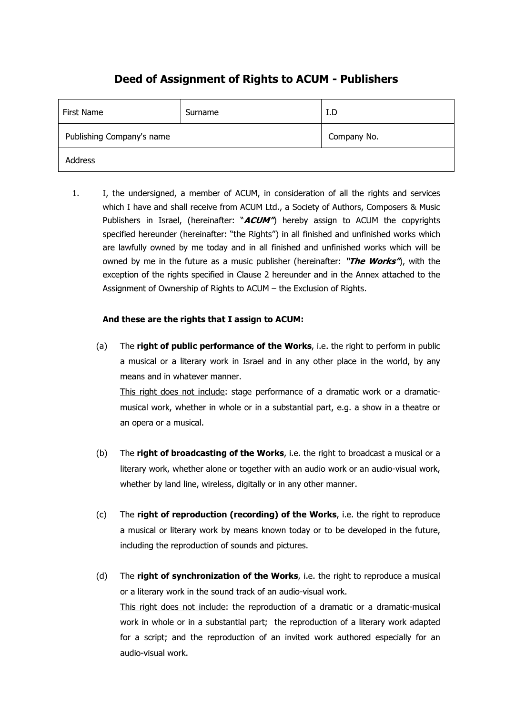## Deed of Assignment of Rights to ACUM - Publishers

| First Name                | Surname | I.D         |
|---------------------------|---------|-------------|
| Publishing Company's name |         | Company No. |
| Address                   |         |             |

1. I, the undersigned, a member of ACUM, in consideration of all the rights and services which I have and shall receive from ACUM Ltd., a Society of Authors, Composers & Music Publishers in Israel, (hereinafter: " $ACUM$ ") hereby assign to ACUM the copyrights specified hereunder (hereinafter: "the Rights") in all finished and unfinished works which are lawfully owned by me today and in all finished and unfinished works which will be owned by me in the future as a music publisher (hereinafter: "The Works"), with the exception of the rights specified in Clause 2 hereunder and in the Annex attached to the Assignment of Ownership of Rights to ACUM – the Exclusion of Rights.

#### And these are the rights that I assign to ACUM:

(a) The right of public performance of the Works, i.e. the right to perform in public a musical or a literary work in Israel and in any other place in the world, by any means and in whatever manner. This right does not include: stage performance of a dramatic work or a dramaticmusical work, whether in whole or in a substantial part, e.g. a show in a theatre or

an opera or a musical.

- (b) The right of broadcasting of the Works, i.e. the right to broadcast a musical or a literary work, whether alone or together with an audio work or an audio-visual work, whether by land line, wireless, digitally or in any other manner.
- (c) The right of reproduction (recording) of the Works, i.e. the right to reproduce a musical or literary work by means known today or to be developed in the future, including the reproduction of sounds and pictures.
- (d) The right of synchronization of the Works, i.e. the right to reproduce a musical or a literary work in the sound track of an audio-visual work. This right does not include: the reproduction of a dramatic or a dramatic-musical work in whole or in a substantial part; the reproduction of a literary work adapted for a script; and the reproduction of an invited work authored especially for an audio-visual work.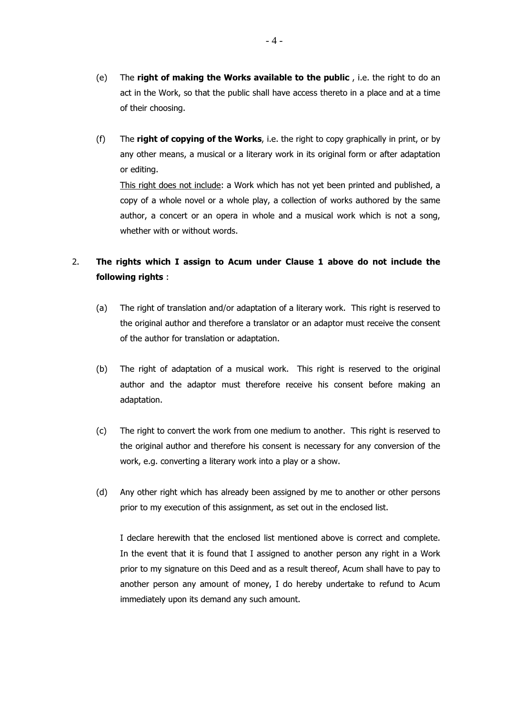- (e) The right of making the Works available to the public, i.e. the right to do an act in the Work, so that the public shall have access thereto in a place and at a time of their choosing.
- (f) The right of copying of the Works, i.e. the right to copy graphically in print, or by any other means, a musical or a literary work in its original form or after adaptation or editing.

 This right does not include: a Work which has not yet been printed and published, a copy of a whole novel or a whole play, a collection of works authored by the same author, a concert or an opera in whole and a musical work which is not a song, whether with or without words.

### 2. The rights which I assign to Acum under Clause 1 above do not include the following rights :

- (a) The right of translation and/or adaptation of a literary work. This right is reserved to the original author and therefore a translator or an adaptor must receive the consent of the author for translation or adaptation.
- (b) The right of adaptation of a musical work. This right is reserved to the original author and the adaptor must therefore receive his consent before making an adaptation.
- (c) The right to convert the work from one medium to another. This right is reserved to the original author and therefore his consent is necessary for any conversion of the work, e.g. converting a literary work into a play or a show.
- (d) Any other right which has already been assigned by me to another or other persons prior to my execution of this assignment, as set out in the enclosed list.

 I declare herewith that the enclosed list mentioned above is correct and complete. In the event that it is found that I assigned to another person any right in a Work prior to my signature on this Deed and as a result thereof, Acum shall have to pay to another person any amount of money, I do hereby undertake to refund to Acum immediately upon its demand any such amount.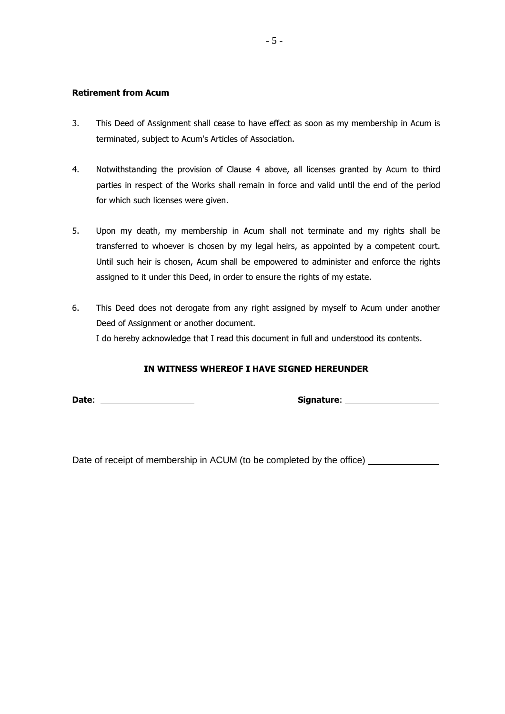#### Retirement from Acum

- 3. This Deed of Assignment shall cease to have effect as soon as my membership in Acum is terminated, subject to Acum's Articles of Association.
- 4. Notwithstanding the provision of Clause 4 above, all licenses granted by Acum to third parties in respect of the Works shall remain in force and valid until the end of the period for which such licenses were given.
- 5. Upon my death, my membership in Acum shall not terminate and my rights shall be transferred to whoever is chosen by my legal heirs, as appointed by a competent court. Until such heir is chosen, Acum shall be empowered to administer and enforce the rights assigned to it under this Deed, in order to ensure the rights of my estate.
- 6. This Deed does not derogate from any right assigned by myself to Acum under another Deed of Assignment or another document. I do hereby acknowledge that I read this document in full and understood its contents.

#### IN WITNESS WHEREOF I HAVE SIGNED HEREUNDER

Date: Signature:

Date of receipt of membership in ACUM (to be completed by the office) \_\_\_\_\_\_\_\_\_\_